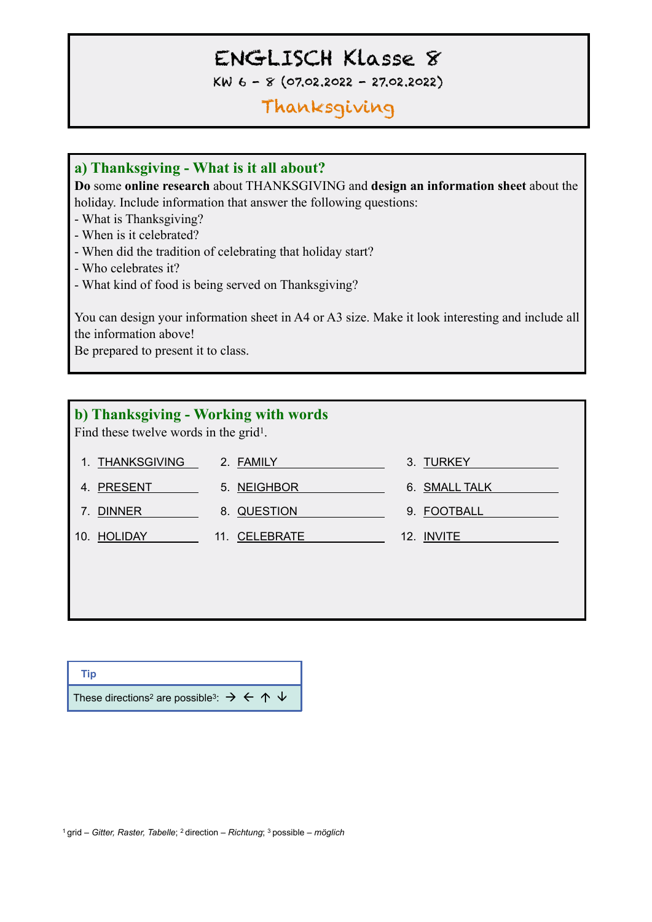# ENGLISCH Klasse 8

KW 6 - 8 (07.02.2022 - 27.02.2022)

## Thanksgiving

#### **a) Thanksgiving - What is it all about?**

**Do** some **online research** about THANKSGIVING and **design an information sheet** about the holiday. Include information that answer the following questions:

- What is Thanksgiving?
- When is it celebrated?
- When did the tradition of celebrating that holiday start?
- Who celebrates it?
- What kind of food is being served on Thanksgiving?

You can design your information sheet in A4 or A3 size. Make it look interesting and include all the information above!

Be prepared to present it to class.

#### **b) Thanksgiving - Working with words**

Find these twelve words in the grid1.

| 1. THANKSGIVING     | 2. FAMILY     | 3. TURKEY         |
|---------------------|---------------|-------------------|
| 4. PRESENT          | 5. NEIGHBOR   | 6. SMALL TALK     |
| <b>DINNER</b><br>7. | 8. QUESTION   | 9. FOOTBALL       |
| 10. HOLIDAY         | 11. CELEBRATE | 12. <b>INVITE</b> |
|                     |               |                   |
|                     |               |                   |

**Tip** These directions<sup>2</sup> are possible<sup>3</sup>:  $\rightarrow$   $\leftarrow$   $\uparrow$   $\downarrow$ 

1 grid – *Gitter, Raster, Tabelle*; 2 direction – *Richtung*; 3 possible – *möglich*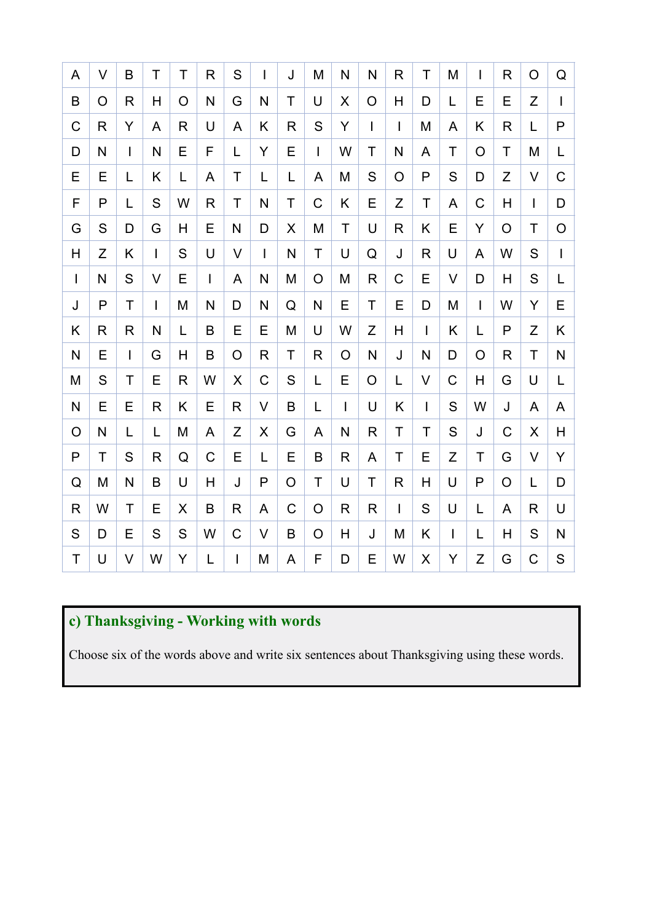| A                         | V | Β            | Τ            | Τ | R              | S            | $\mathbf{I}$ | J             | M              | N              | N              | R            | Τ            | M           | $\mathsf{I}$   | R              | O            | Q                       |
|---------------------------|---|--------------|--------------|---|----------------|--------------|--------------|---------------|----------------|----------------|----------------|--------------|--------------|-------------|----------------|----------------|--------------|-------------------------|
| $\sf B$                   | O | R            | H            | O | N              | G            | N            | T             | U              | X              | $\overline{O}$ | H            | D            | L           | Е              | Е              | Z            | $\mathbf{I}$            |
| $\mathsf C$               | R | Ÿ            | A            | R | U              | A            | K            | $\mathsf{R}$  | S              | Y              | $\overline{1}$ | $\mathsf{I}$ | M            | A           | K              | $\mathsf{R}$   | L            | P                       |
| D                         | N | $\mathsf{I}$ | N            | E | F              | L            | Y            | E             | $\overline{1}$ | W              | T              | N            | A            | T           | O              | T              | M            | L                       |
| E                         | E | L            | Κ            | L | A              | T            | L            | L             | A              | M              | S              | O            | $\mathsf{P}$ | S           | D              | Z              | V            | $\mathsf C$             |
| F                         | P | L            | S            | W | $\mathsf{R}$   | $\mathsf T$  | N            | T             | $\mathsf C$    | K              | E              | Z            | T            | A           | $\mathsf C$    | $\overline{H}$ | $\mathbf{I}$ | D                       |
| G                         | S | D            | G            | H | E              | N            | D            | X             | M              | T              | U              | $\mathsf{R}$ | K            | E           | Y              | O              | T            | $\circ$                 |
| $\boldsymbol{\mathsf{H}}$ | Z | Κ            | L            | S | U              | $\vee$       | $\mathbf{I}$ | N             | $\mathsf{T}$   | U              | Q              | J            | R            | U           | $\overline{A}$ | W              | S            | $\overline{1}$          |
| $\mathbf{I}$              | N | S            | $\vee$       | E | $\overline{1}$ | A            | N            | M             | $\overline{O}$ | M              | $\mathsf{R}$   | C            | E            | $\vee$      | D              | H              | S            | L                       |
| J                         | P | T            | L            | M | N              | D            | N            | Q             | N              | E              | T              | E            | D            | M           | $\mathbf{I}$   | W              | Y            | E                       |
| Κ                         | R | R            | N            | L | B              | E            | E            | M             | U              | W              | Z              | H            | T            | K           | L              | P              | Z            | Κ                       |
| $\mathsf{N}$              | E | $\mathsf{I}$ | G            | Н | B              | O            | R            | T             | R              | O              | N              | J            | $\mathsf{N}$ | D           | O              | R              | T            | $\mathsf{N}$            |
| M                         | S | Τ            | Ε            | R | W              | X            | $\mathsf C$  | ${\mathsf S}$ | L              | E              | $\overline{O}$ | Г            | V            | $\mathsf C$ | H              | G              | U            | L                       |
| N                         | E | E            | R            | Κ | E              | R            | V            | B             | L              | $\overline{1}$ | U              | K            | $\mathbf{I}$ | S           | W              | J              | A            | A                       |
| $\circ$                   | N | L            | L            | M | A              | Z            | X            | G             | A              | N              | $\mathsf{R}$   | T            | T            | S           | J              | $\mathsf{C}$   | X            | H                       |
| $\mathsf{P}$              | T | S            | $\mathsf{R}$ | Q | $\mathsf C$    | E            | L            | E             | $\sf B$        | $\mathsf{R}$   | A              | T            | E            | Z           | T              | G              | $\vee$       | Y                       |
| Q                         | M | N            | B            | U | H              | J            | P            | O             | T              | U              | Τ              | R            | Н            | U           | P              | O              | L            | D                       |
| $\mathsf R$               | W | T            | E            | X | B              | R            | A            | $\mathsf C$   | $\circ$        | $\mathsf{R}$   | $\mathsf R$    | $\mathbf{I}$ | S            | U           | L              | A              | R            | U                       |
| S                         | D | E            | S            | S | W              | $\mathsf C$  | V            | B             | $\overline{O}$ | H              | J              | M            | K            | L           | L              | H              | S            | $\overline{\mathsf{N}}$ |
| $\mathsf T$               | U | V            | W            | Y | L              | $\mathbf{I}$ | M            | A             | F              | D              | E              | W            | X            | Y           | Z              | G              | C            | ${\mathsf S}$           |

### **c) Thanksgiving - Working with words**

Choose six of the words above and write six sentences about Thanksgiving using these words.